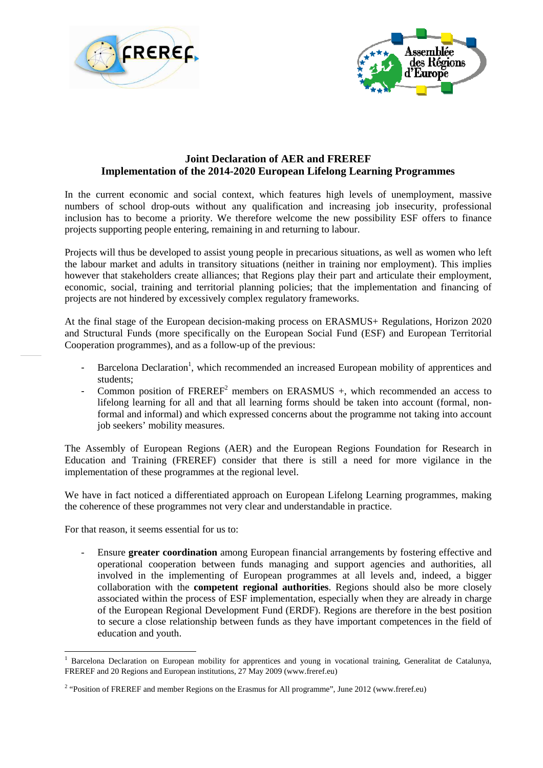



## **Joint Declaration of AER and FREREF Implementation of the 2014-2020 European Lifelong Learning Programmes**

In the current economic and social context, which features high levels of unemployment, massive numbers of school drop-outs without any qualification and increasing job insecurity, professional inclusion has to become a priority. We therefore welcome the new possibility ESF offers to finance projects supporting people entering, remaining in and returning to labour.

Projects will thus be developed to assist young people in precarious situations, as well as women who left the labour market and adults in transitory situations (neither in training nor employment). This implies however that stakeholders create alliances; that Regions play their part and articulate their employment, economic, social, training and territorial planning policies; that the implementation and financing of projects are not hindered by excessively complex regulatory frameworks.

At the final stage of the European decision-making process on ERASMUS+ Regulations, Horizon 2020 and Structural Funds (more specifically on the European Social Fund (ESF) and European Territorial Cooperation programmes), and as a follow-up of the previous:

- Barcelona Declaration<sup>1</sup>, which recommended an increased European mobility of apprentices and students;
- Common position of  $FREF^2$  members on  $ERASMUS +$ , which recommended an access to lifelong learning for all and that all learning forms should be taken into account (formal, nonformal and informal) and which expressed concerns about the programme not taking into account job seekers' mobility measures.

The Assembly of European Regions (AER) and the European Regions Foundation for Research in Education and Training (FREREF) consider that there is still a need for more vigilance in the implementation of these programmes at the regional level.

We have in fact noticed a differentiated approach on European Lifelong Learning programmes, making the coherence of these programmes not very clear and understandable in practice.

For that reason, it seems essential for us to:

l

- Ensure **greater coordination** among European financial arrangements by fostering effective and operational cooperation between funds managing and support agencies and authorities, all involved in the implementing of European programmes at all levels and, indeed, a bigger collaboration with the **competent regional authorities**. Regions should also be more closely associated within the process of ESF implementation, especially when they are already in charge of the European Regional Development Fund (ERDF). Regions are therefore in the best position to secure a close relationship between funds as they have important competences in the field of education and youth.

<sup>1</sup> Barcelona Declaration on European mobility for apprentices and young in vocational training, Generalitat de Catalunya, FREREF and 20 Regions and European institutions, 27 May 2009 (www.freref.eu)

<sup>&</sup>lt;sup>2</sup> "Position of FREREF and member Regions on the Erasmus for All programme", June 2012 (www.freref.eu)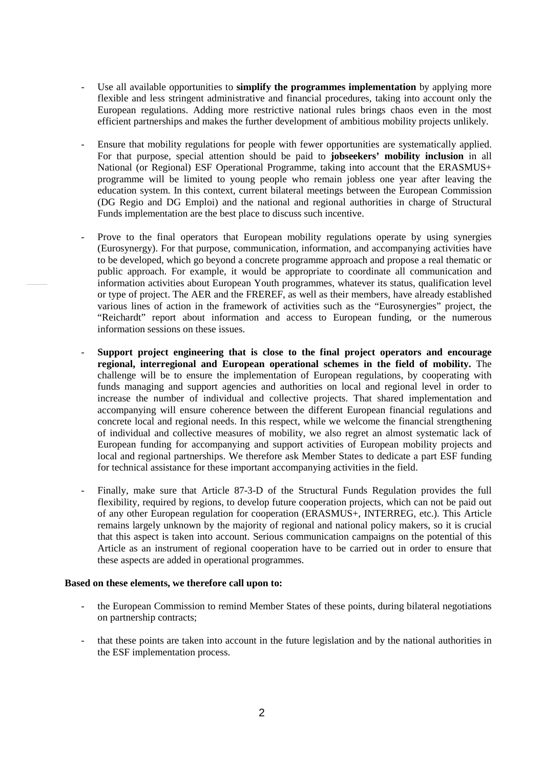- Use all available opportunities to **simplify the programmes implementation** by applying more flexible and less stringent administrative and financial procedures, taking into account only the European regulations. Adding more restrictive national rules brings chaos even in the most efficient partnerships and makes the further development of ambitious mobility projects unlikely.
- Ensure that mobility regulations for people with fewer opportunities are systematically applied. For that purpose, special attention should be paid to **jobseekers' mobility inclusion** in all National (or Regional) ESF Operational Programme, taking into account that the ERASMUS+ programme will be limited to young people who remain jobless one year after leaving the education system. In this context, current bilateral meetings between the European Commission (DG Regio and DG Emploi) and the national and regional authorities in charge of Structural Funds implementation are the best place to discuss such incentive.
- Prove to the final operators that European mobility regulations operate by using synergies (Eurosynergy). For that purpose, communication, information, and accompanying activities have to be developed, which go beyond a concrete programme approach and propose a real thematic or public approach. For example, it would be appropriate to coordinate all communication and information activities about European Youth programmes, whatever its status, qualification level or type of project. The AER and the FREREF, as well as their members, have already established various lines of action in the framework of activities such as the "Eurosynergies" project, the "Reichardt" report about information and access to European funding, or the numerous information sessions on these issues.
- **Support project engineering that is close to the final project operators and encourage regional, interregional and European operational schemes in the field of mobility.** The challenge will be to ensure the implementation of European regulations, by cooperating with funds managing and support agencies and authorities on local and regional level in order to increase the number of individual and collective projects. That shared implementation and accompanying will ensure coherence between the different European financial regulations and concrete local and regional needs. In this respect, while we welcome the financial strengthening of individual and collective measures of mobility, we also regret an almost systematic lack of European funding for accompanying and support activities of European mobility projects and local and regional partnerships. We therefore ask Member States to dedicate a part ESF funding for technical assistance for these important accompanying activities in the field.
- Finally, make sure that Article 87-3-D of the Structural Funds Regulation provides the full flexibility, required by regions, to develop future cooperation projects, which can not be paid out of any other European regulation for cooperation (ERASMUS+, INTERREG, etc.). This Article remains largely unknown by the majority of regional and national policy makers, so it is crucial that this aspect is taken into account. Serious communication campaigns on the potential of this Article as an instrument of regional cooperation have to be carried out in order to ensure that these aspects are added in operational programmes.

## **Based on these elements, we therefore call upon to:**

- the European Commission to remind Member States of these points, during bilateral negotiations on partnership contracts;
- that these points are taken into account in the future legislation and by the national authorities in the ESF implementation process.